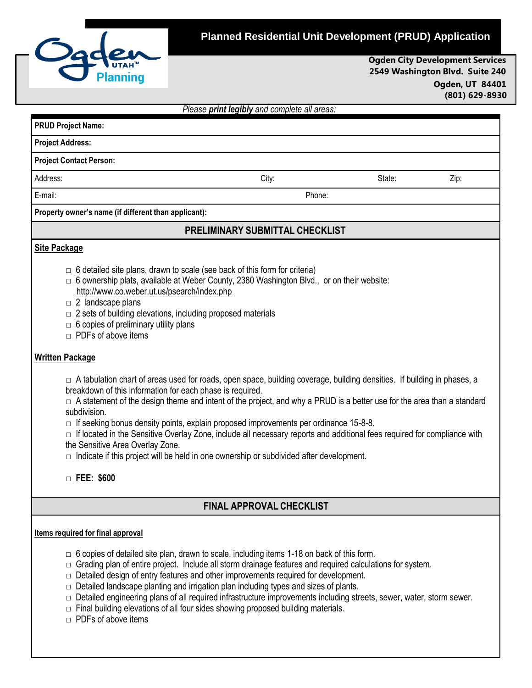

**PRUD Project Name:** 

## **Planned Residential Unit Development (PRUD) Application**

**Ogden City Development Services 2549 Washington Blvd. Suite 240 Ogden, UT 84401 (801) 629-8930**

*Please print legibly and complete all areas:*

| <b>Project Address:</b>                                                                                                                                                                                                                                                                                                         |                                                                                           |        |      |
|---------------------------------------------------------------------------------------------------------------------------------------------------------------------------------------------------------------------------------------------------------------------------------------------------------------------------------|-------------------------------------------------------------------------------------------|--------|------|
| <b>Project Contact Person:</b>                                                                                                                                                                                                                                                                                                  |                                                                                           |        |      |
| Address:                                                                                                                                                                                                                                                                                                                        | City:                                                                                     | State: | Zip: |
| E-mail:                                                                                                                                                                                                                                                                                                                         | Phone:                                                                                    |        |      |
| Property owner's name (if different than applicant):                                                                                                                                                                                                                                                                            |                                                                                           |        |      |
|                                                                                                                                                                                                                                                                                                                                 | <b>PRELIMINARY SUBMITTAL CHECKLIST</b>                                                    |        |      |
| Site Package                                                                                                                                                                                                                                                                                                                    |                                                                                           |        |      |
| 6 detailed site plans, drawn to scale (see back of this form for criteria)<br>$\Box$<br>$\Box$<br>http://www.co.weber.ut.us/psearch/index.php<br>2 landscape plans<br>$\Box$<br>2 sets of building elevations, including proposed materials<br>$\Box$<br>6 copies of preliminary utility plans<br>PDFs of above items<br>$\Box$ | 6 ownership plats, available at Weber County, 2380 Washington Blvd., or on their website: |        |      |
| <b>Written Package</b>                                                                                                                                                                                                                                                                                                          |                                                                                           |        |      |

□ A tabulation chart of areas used for roads, open space, building coverage, building densities. If building in phases, a breakdown of this information for each phase is required.

 $\Box$  A statement of the design theme and intent of the project, and why a PRUD is a better use for the area than a standard subdivision.

 $\Box$  If seeking bonus density points, explain proposed improvements per ordinance 15-8-8.

 $\Box$  If located in the Sensitive Overlay Zone, include all necessary reports and additional fees required for compliance with the Sensitive Area Overlay Zone.

 $\Box$  Indicate if this project will be held in one ownership or subdivided after development.

**□ FEE: \$600**

## **FINAL APPROVAL CHECKLIST**

## **Items required for final approval**

- **□** 6 copies of detailed site plan, drawn to scale, including items 1-18 on back of this form.
- $\Box$  Grading plan of entire project. Include all storm drainage features and required calculations for system.
- $\Box$  Detailed design of entry features and other improvements required for development.
- $\Box$  Detailed landscape planting and irrigation plan including types and sizes of plants.
- □ Detailed engineering plans of all required infrastructure improvements including streets, sewer, water, storm sewer.
- $\Box$  Final building elevations of all four sides showing proposed building materials.
- $\Box$  PDFs of above items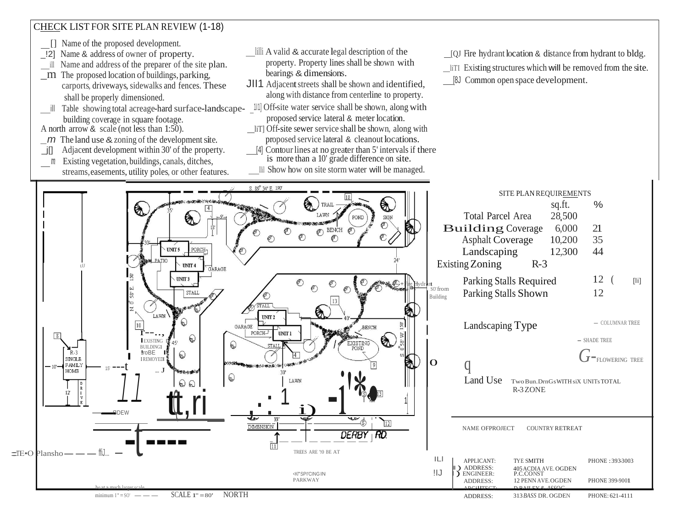

- *The land use*  $\&$  *zoning of the development site.*
- \_j[] Adjacent development within 30' of the property.
- *m* Existing vegetation, buildings, canals, ditches, streams, easements, utility poles, or other features.
- lilli A valid & accurate legal description of the property. Property lines shall be shown with
- JII1 Adjacent streets shall be shown and identified, along with distance from centerline to property.
- proposed service lateral & meter location.
- liT] Off-site sewer service shall be shown, along with proposed service lateral & cleanout locations.
- [4] Contour lines at no greater than 5' intervals if there is more than a 10' grade difference on site.
- llil Show how on site storm water will be managed.
- [QJ Fire hydrant location & distance from hydrant to bldg.
- liTI Existing structures which will be removed from the site.
- [8J Common open space development.